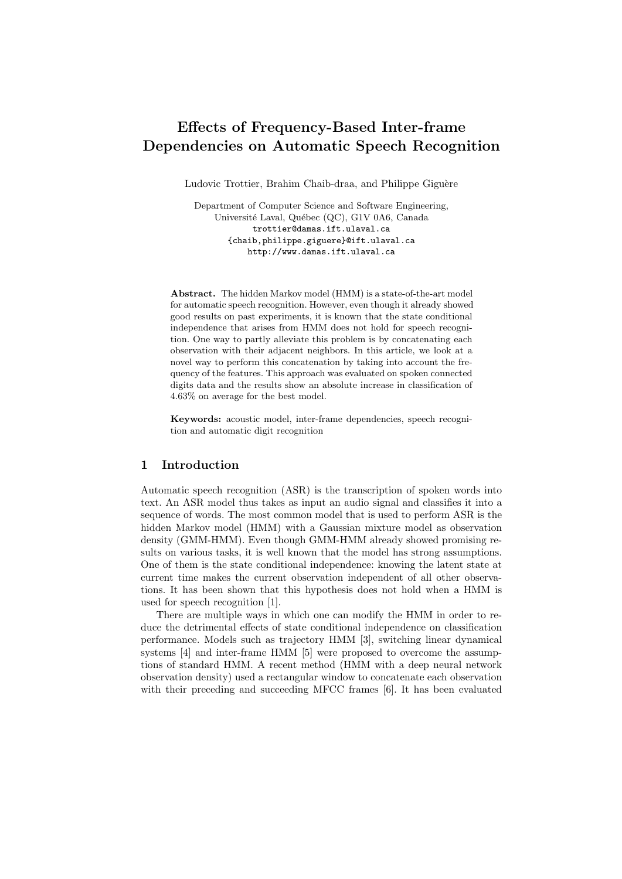# Effects of Frequency-Based Inter-frame Dependencies on Automatic Speech Recognition

Ludovic Trottier, Brahim Chaib-draa, and Philippe Giguère

Department of Computer Science and Software Engineering, Université Laval, Québec (QC), G1V 0A6, Canada trottier@damas.ift.ulaval.ca {chaib,philippe.giguere}@ift.ulaval.ca http://www.damas.ift.ulaval.ca

Abstract. The hidden Markov model (HMM) is a state-of-the-art model for automatic speech recognition. However, even though it already showed good results on past experiments, it is known that the state conditional independence that arises from HMM does not hold for speech recognition. One way to partly alleviate this problem is by concatenating each observation with their adjacent neighbors. In this article, we look at a novel way to perform this concatenation by taking into account the frequency of the features. This approach was evaluated on spoken connected digits data and the results show an absolute increase in classification of 4.63% on average for the best model.

Keywords: acoustic model, inter-frame dependencies, speech recognition and automatic digit recognition

# 1 Introduction

Automatic speech recognition (ASR) is the transcription of spoken words into text. An ASR model thus takes as input an audio signal and classifies it into a sequence of words. The most common model that is used to perform ASR is the hidden Markov model (HMM) with a Gaussian mixture model as observation density (GMM-HMM). Even though GMM-HMM already showed promising results on various tasks, it is well known that the model has strong assumptions. One of them is the state conditional independence: knowing the latent state at current time makes the current observation independent of all other observations. It has been shown that this hypothesis does not hold when a HMM is used for speech recognition [1].

There are multiple ways in which one can modify the HMM in order to reduce the detrimental effects of state conditional independence on classification performance. Models such as trajectory HMM [3], switching linear dynamical systems [4] and inter-frame HMM [5] were proposed to overcome the assumptions of standard HMM. A recent method (HMM with a deep neural network observation density) used a rectangular window to concatenate each observation with their preceding and succeeding MFCC frames [6]. It has been evaluated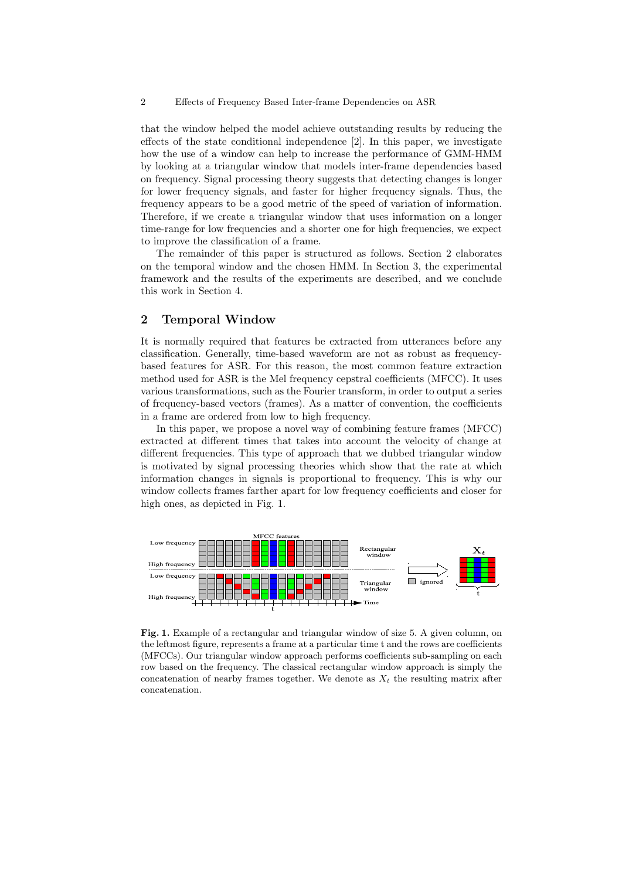#### 2 Effects of Frequency Based Inter-frame Dependencies on ASR

that the window helped the model achieve outstanding results by reducing the effects of the state conditional independence [2]. In this paper, we investigate how the use of a window can help to increase the performance of GMM-HMM by looking at a triangular window that models inter-frame dependencies based on frequency. Signal processing theory suggests that detecting changes is longer for lower frequency signals, and faster for higher frequency signals. Thus, the frequency appears to be a good metric of the speed of variation of information. Therefore, if we create a triangular window that uses information on a longer time-range for low frequencies and a shorter one for high frequencies, we expect to improve the classification of a frame.

The remainder of this paper is structured as follows. Section 2 elaborates on the temporal window and the chosen HMM. In Section 3, the experimental framework and the results of the experiments are described, and we conclude this work in Section 4.

### 2 Temporal Window

It is normally required that features be extracted from utterances before any classification. Generally, time-based waveform are not as robust as frequencybased features for ASR. For this reason, the most common feature extraction method used for ASR is the Mel frequency cepstral coefficients (MFCC). It uses various transformations, such as the Fourier transform, in order to output a series of frequency-based vectors (frames). As a matter of convention, the coefficients in a frame are ordered from low to high frequency.

In this paper, we propose a novel way of combining feature frames (MFCC) extracted at different times that takes into account the velocity of change at different frequencies. This type of approach that we dubbed triangular window is motivated by signal processing theories which show that the rate at which information changes in signals is proportional to frequency. This is why our window collects frames farther apart for low frequency coefficients and closer for high ones, as depicted in Fig. 1.



Fig. 1. Example of a rectangular and triangular window of size 5. A given column, on the leftmost figure, represents a frame at a particular time t and the rows are coefficients (MFCCs). Our triangular window approach performs coefficients sub-sampling on each row based on the frequency. The classical rectangular window approach is simply the concatenation of nearby frames together. We denote as  $X_t$  the resulting matrix after concatenation.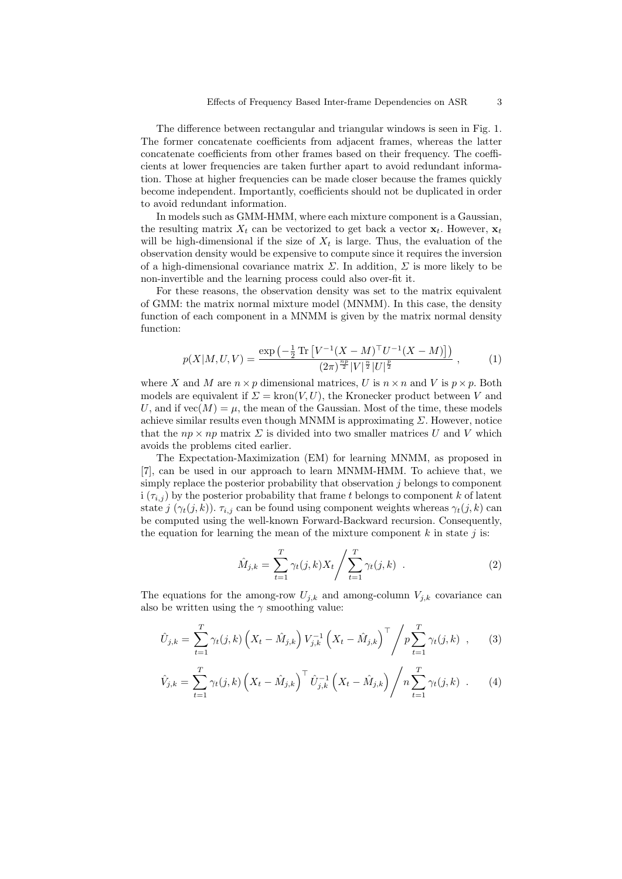The difference between rectangular and triangular windows is seen in Fig. 1. The former concatenate coefficients from adjacent frames, whereas the latter concatenate coefficients from other frames based on their frequency. The coefficients at lower frequencies are taken further apart to avoid redundant information. Those at higher frequencies can be made closer because the frames quickly become independent. Importantly, coefficients should not be duplicated in order to avoid redundant information.

In models such as GMM-HMM, where each mixture component is a Gaussian, the resulting matrix  $X_t$  can be vectorized to get back a vector  $\mathbf{x}_t$ . However,  $\mathbf{x}_t$ will be high-dimensional if the size of  $X_t$  is large. Thus, the evaluation of the observation density would be expensive to compute since it requires the inversion of a high-dimensional covariance matrix  $\Sigma$ . In addition,  $\Sigma$  is more likely to be non-invertible and the learning process could also over-fit it.

For these reasons, the observation density was set to the matrix equivalent of GMM: the matrix normal mixture model (MNMM). In this case, the density function of each component in a MNMM is given by the matrix normal density function:

$$
p(X|M, U, V) = \frac{\exp\left(-\frac{1}{2}\operatorname{Tr}\left[V^{-1}(X - M)^{\top}U^{-1}(X - M)\right]\right)}{(2\pi)^{\frac{np}{2}}|V|^{\frac{n}{2}}|U|^{\frac{p}{2}}},\tag{1}
$$

where X and M are  $n \times p$  dimensional matrices, U is  $n \times n$  and V is  $p \times p$ . Both models are equivalent if  $\Sigma = \text{kron}(V, U)$ , the Kronecker product between V and U, and if  $\text{vec}(M) = \mu$ , the mean of the Gaussian. Most of the time, these models achieve similar results even though MNMM is approximating  $\Sigma$ . However, notice that the  $np \times np$  matrix  $\Sigma$  is divided into two smaller matrices U and V which avoids the problems cited earlier.

The Expectation-Maximization (EM) for learning MNMM, as proposed in [7], can be used in our approach to learn MNMM-HMM. To achieve that, we simply replace the posterior probability that observation  $j$  belongs to component i  $(\tau_{i,j})$  by the posterior probability that frame t belongs to component k of latent state j  $(\gamma_t(j,k))$ .  $\tau_{i,j}$  can be found using component weights whereas  $\gamma_t(j,k)$  can be computed using the well-known Forward-Backward recursion. Consequently, the equation for learning the mean of the mixture component  $k$  in state  $j$  is:

$$
\hat{M}_{j,k} = \sum_{t=1}^{T} \gamma_t(j,k) X_t \Bigg/ \sum_{t=1}^{T} \gamma_t(j,k) . \tag{2}
$$

The equations for the among-row  $U_{j,k}$  and among-column  $V_{j,k}$  covariance can also be written using the  $\gamma$  smoothing value:

$$
\hat{U}_{j,k} = \sum_{t=1}^{T} \gamma_t(j,k) \left( X_t - \hat{M}_{j,k} \right) V_{j,k}^{-1} \left( X_t - \hat{M}_{j,k} \right)^{\top} / p \sum_{t=1}^{T} \gamma_t(j,k) , \qquad (3)
$$

$$
\hat{V}_{j,k} = \sum_{t=1}^{T} \gamma_t(j,k) \left( X_t - \hat{M}_{j,k} \right)^{\top} \hat{U}_{j,k}^{-1} \left( X_t - \hat{M}_{j,k} \right) / n \sum_{t=1}^{T} \gamma_t(j,k) \quad . \tag{4}
$$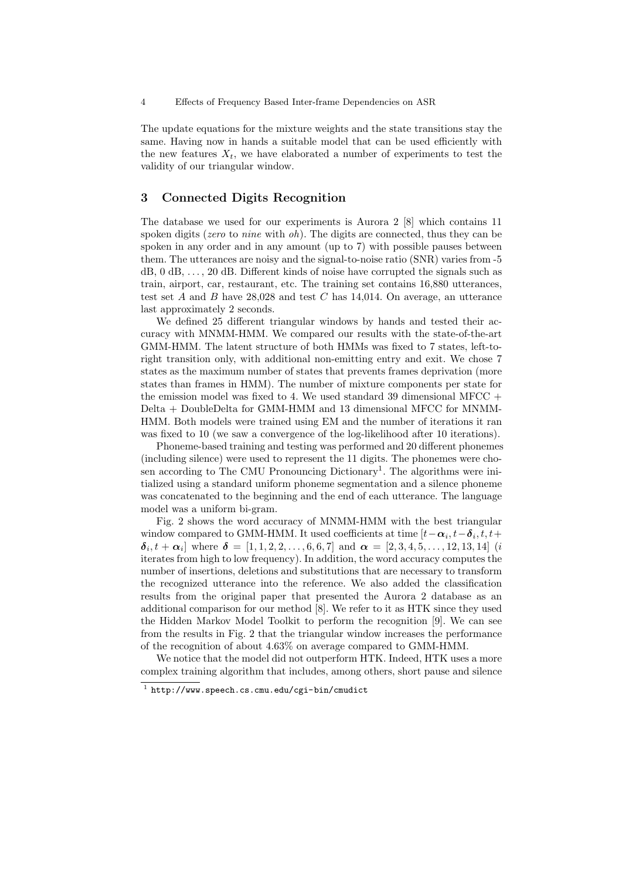The update equations for the mixture weights and the state transitions stay the same. Having now in hands a suitable model that can be used efficiently with the new features  $X_t$ , we have elaborated a number of experiments to test the validity of our triangular window.

# 3 Connected Digits Recognition

The database we used for our experiments is Aurora 2 [8] which contains 11 spoken digits (*zero* to *nine* with  $oh$ ). The digits are connected, thus they can be spoken in any order and in any amount (up to 7) with possible pauses between them. The utterances are noisy and the signal-to-noise ratio (SNR) varies from -5 dB, 0 dB, . . . , 20 dB. Different kinds of noise have corrupted the signals such as train, airport, car, restaurant, etc. The training set contains 16,880 utterances, test set  $A$  and  $B$  have 28,028 and test  $C$  has 14,014. On average, an utterance last approximately 2 seconds.

We defined 25 different triangular windows by hands and tested their accuracy with MNMM-HMM. We compared our results with the state-of-the-art GMM-HMM. The latent structure of both HMMs was fixed to 7 states, left-toright transition only, with additional non-emitting entry and exit. We chose 7 states as the maximum number of states that prevents frames deprivation (more states than frames in HMM). The number of mixture components per state for the emission model was fixed to 4. We used standard 39 dimensional MFCC  $+$ Delta + DoubleDelta for GMM-HMM and 13 dimensional MFCC for MNMM-HMM. Both models were trained using EM and the number of iterations it ran was fixed to 10 (we saw a convergence of the log-likelihood after 10 iterations).

Phoneme-based training and testing was performed and 20 different phonemes (including silence) were used to represent the 11 digits. The phonemes were chosen according to The CMU Pronouncing Dictionary<sup>1</sup>. The algorithms were initialized using a standard uniform phoneme segmentation and a silence phoneme was concatenated to the beginning and the end of each utterance. The language model was a uniform bi-gram.

Fig. 2 shows the word accuracy of MNMM-HMM with the best triangular window compared to GMM-HMM. It used coefficients at time  $[t - \alpha_i, t - \delta_i, t, t +$  $\delta_i, t + \alpha_i]$  where  $\delta = [1, 1, 2, 2, \dots, 6, 6, 7]$  and  $\alpha = [2, 3, 4, 5, \dots, 12, 13, 14]$  (i iterates from high to low frequency). In addition, the word accuracy computes the number of insertions, deletions and substitutions that are necessary to transform the recognized utterance into the reference. We also added the classification results from the original paper that presented the Aurora 2 database as an additional comparison for our method [8]. We refer to it as HTK since they used the Hidden Markov Model Toolkit to perform the recognition [9]. We can see from the results in Fig. 2 that the triangular window increases the performance of the recognition of about 4.63% on average compared to GMM-HMM.

We notice that the model did not outperform HTK. Indeed, HTK uses a more complex training algorithm that includes, among others, short pause and silence

<sup>1</sup> http://www.speech.cs.cmu.edu/cgi-bin/cmudict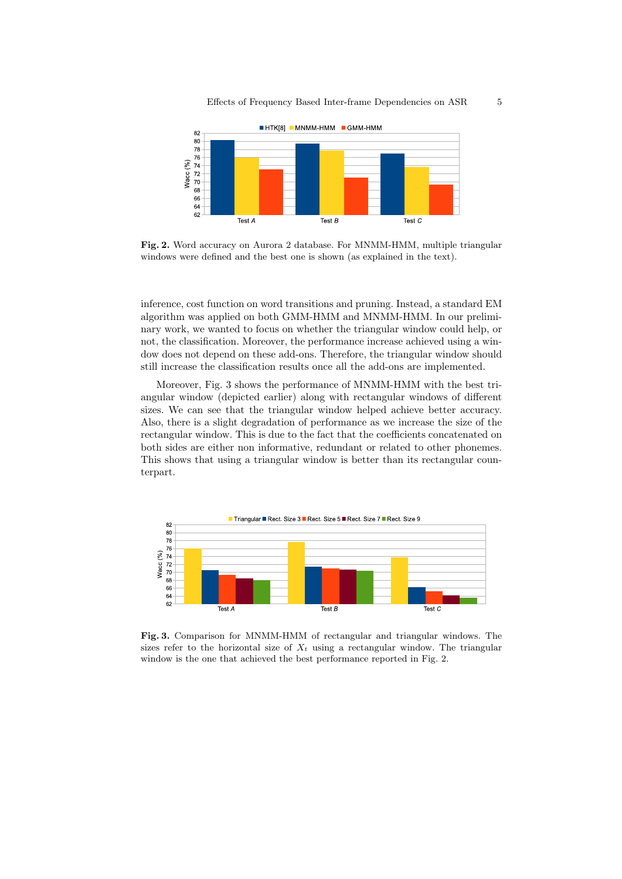

Fig. 2. Word accuracy on Aurora 2 database. For MNMM-HMM, multiple triangular windows were defined and the best one is shown (as explained in the text).

inference, cost function on word transitions and pruning. Instead, a standard EM algorithm was applied on both GMM-HMM and MNMM-HMM. In our preliminary work, we wanted to focus on whether the triangular window could help, or not, the classification. Moreover, the performance increase achieved using a window does not depend on these add-ons. Therefore, the triangular window should still increase the classification results once all the add-ons are implemented.

Moreover, Fig. 3 shows the performance of MNMM-HMM with the best triangular window (depicted earlier) along with rectangular windows of different sizes. We can see that the triangular window helped achieve better accuracy. Also, there is a slight degradation of performance as we increase the size of the rectangular window. This is due to the fact that the coefficients concatenated on both sides are either non informative, redundant or related to other phonemes. This shows that using a triangular window is better than its rectangular counterpart.



Fig. 3. Comparison for MNMM-HMM of rectangular and triangular windows. The sizes refer to the horizontal size of  $X_t$  using a rectangular window. The triangular window is the one that achieved the best performance reported in Fig. 2.